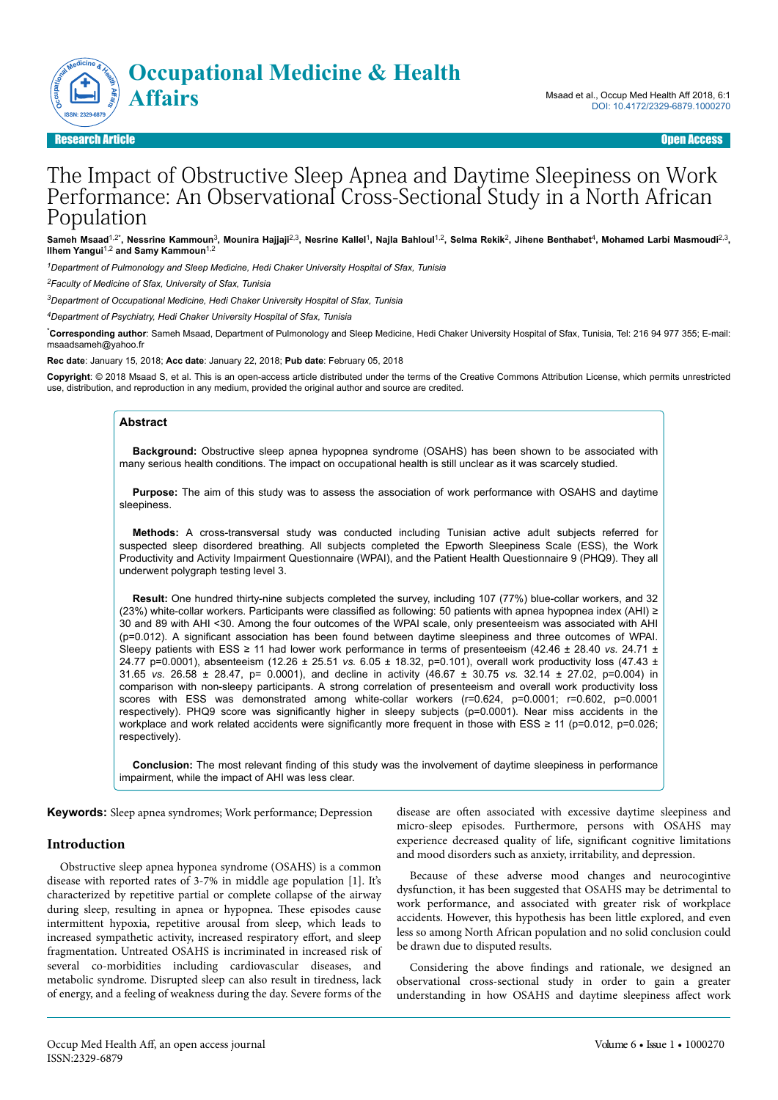

Research Article Open Access

# The Impact of Obstructive Sleep Apnea and Daytime Sleepiness on Work Performance: An Observational Cross-Sectional Study in a North African Population

Sameh Msaad<sup>1,2</sup>\*, Nessrine Kammoun<sup>3</sup>, Mounira Hajjaji<sup>2,3</sup>, Nesrine Kallel<sup>1</sup>, Najla Bahloul<sup>1,2</sup>, Selma Rekik<sup>2</sup>, Jihene Benthabet<sup>4</sup>, Mohamed Larbi Masmoudi<sup>2,3</sup>, **Ilhem Yangui**1,2 **and Samy Kammoun**1,2

*<sup>1</sup>Department of Pulmonology and Sleep Medicine, Hedi Chaker University Hospital of Sfax, Tunisia*

*<sup>2</sup>Faculty of Medicine of Sfax, University of Sfax, Tunisia*

*<sup>3</sup>Department of Occupational Medicine, Hedi Chaker University Hospital of Sfax, Tunisia*

*<sup>4</sup>Department of Psychiatry, Hedi Chaker University Hospital of Sfax, Tunisia*

\***Corresponding author**: Sameh Msaad, Department of Pulmonology and Sleep Medicine, Hedi Chaker University Hospital of Sfax, Tunisia, Tel: 216 94 977 355; E-mail: msaadsameh@yahoo.fr

**Rec date**: January 15, 2018; **Acc date**: January 22, 2018; **Pub date**: February 05, 2018

**Copyright**: © 2018 Msaad S, et al. This is an open-access article distributed under the terms of the Creative Commons Attribution License, which permits unrestricted use, distribution, and reproduction in any medium, provided the original author and source are credited.

## **Abstract**

**Background:** Obstructive sleep apnea hypopnea syndrome (OSAHS) has been shown to be associated with many serious health conditions. The impact on occupational health is still unclear as it was scarcely studied.

**Purpose:** The aim of this study was to assess the association of work performance with OSAHS and daytime sleepiness.

**Methods:** A cross-transversal study was conducted including Tunisian active adult subjects referred for suspected sleep disordered breathing. All subjects completed the Epworth Sleepiness Scale (ESS), the Work Productivity and Activity Impairment Questionnaire (WPAI), and the Patient Health Questionnaire 9 (PHQ9). They all underwent polygraph testing level 3.

**Result:** One hundred thirty-nine subjects completed the survey, including 107 (77%) blue-collar workers, and 32 (23%) white-collar workers. Participants were classified as following: 50 patients with apnea hypopnea index (AHI) ≥ 30 and 89 with AHI <30. Among the four outcomes of the WPAI scale, only presenteeism was associated with AHI (p=0.012). A significant association has been found between daytime sleepiness and three outcomes of WPAI. Sleepy patients with ESS ≥ 11 had lower work performance in terms of presenteeism (42.46 ± 28.40 *vs.* 24.71 ± 24.77 p=0.0001), absenteeism (12.26 ± 25.51 *vs.* 6.05 ± 18.32, p=0.101), overall work productivity loss (47.43 ± 31.65 *vs.* 26.58 ± 28.47, p= 0.0001), and decline in activity (46.67 ± 30.75 *vs.* 32.14 ± 27.02, p=0.004) in comparison with non-sleepy participants. A strong correlation of presenteeism and overall work productivity loss scores with ESS was demonstrated among white-collar workers (r=0.624, p=0.0001; r=0.602, p=0.0001 respectively). PHQ9 score was significantly higher in sleepy subjects (p=0.0001). Near miss accidents in the workplace and work related accidents were significantly more frequent in those with ESS ≥ 11 (p=0.012, p=0.026; respectively).

**Conclusion:** The most relevant finding of this study was the involvement of daytime sleepiness in performance impairment, while the impact of AHI was less clear.

**Keywords:** Sleep apnea syndromes; Work performance; Depression

### **Introduction**

Obstructive sleep apnea hyponea syndrome (OSAHS) is a common disease with reported rates of 3-7% in middle age population [1]. It's characterized by repetitive partial or complete collapse of the airway during sleep, resulting in apnea or hypopnea. Нese episodes cause intermittent hypoxia, repetitive arousal from sleep, which leads to increased sympathetic activity, increased respiratory effort, and sleep fragmentation. Untreated OSAHS is incriminated in increased risk of several co-morbidities including cardiovascular diseases, and metabolic syndrome. Disrupted sleep can also result in tiredness, lack of energy, and a feeling of weakness during the day. Severe forms of the

disease are often associated with excessive daytime sleepiness and micro-sleep episodes. Furthermore, persons with OSAHS may experience decreased quality of life, significant cognitive limitations and mood disorders such as anxiety, irritability, and depression.

Because of these adverse mood changes and neurocogintive dysfunction, it has been suggested that OSAHS may be detrimental to work performance, and associated with greater risk of workplace accidents. However, this hypothesis has been little explored, and even less so among North African population and no solid conclusion could be drawn due to disputed results.

Considering the above findings and rationale, we designed an observational cross-sectional study in order to gain a greater understanding in how OSAHS and daytime sleepiness affect work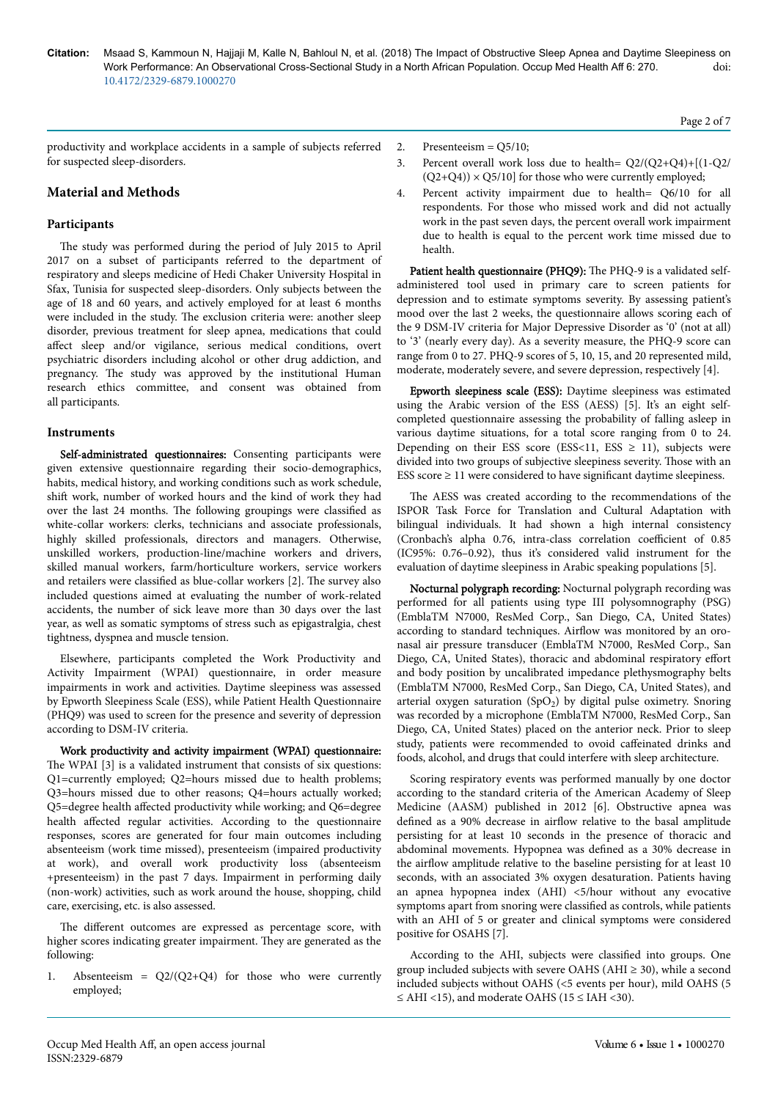productivity and workplace accidents in a sample of subjects referred for suspected sleep-disorders.

# **Material and Methods**

## **Participants**

The study was performed during the period of July 2015 to April 2017 on a subset of participants referred to the department of respiratory and sleeps medicine of Hedi Chaker University Hospital in Sfax, Tunisia for suspected sleep-disorders. Only subjects between the age of 18 and 60 years, and actively employed for at least 6 months were included in the study. Нe exclusion criteria were: another sleep disorder, previous treatment for sleep apnea, medications that could affect sleep and/or vigilance, serious medical conditions, overt psychiatric disorders including alcohol or other drug addiction, and pregnancy. Нe study was approved by the institutional Human research ethics committee, and consent was obtained from all participants.

### **Instruments**

Self-administrated questionnaires: Consenting participants were given extensive questionnaire regarding their socio-demographics, habits, medical history, and working conditions such as work schedule, shift work, number of worked hours and the kind of work they had over the last 24 months. The following groupings were classified as white-collar workers: clerks, technicians and associate professionals, highly skilled professionals, directors and managers. Otherwise, unskilled workers, production-line/machine workers and drivers, skilled manual workers, farm/horticulture workers, service workers and retailers were classified as blue-collar workers [2]. The survey also included questions aimed at evaluating the number of work-related accidents, the number of sick leave more than 30 days over the last year, as well as somatic symptoms of stress such as epigastralgia, chest tightness, dyspnea and muscle tension.

Elsewhere, participants completed the Work Productivity and Activity Impairment (WPAI) questionnaire, in order measure impairments in work and activities. Daytime sleepiness was assessed by Epworth Sleepiness Scale (ESS), while Patient Health Questionnaire (PHQ9) was used to screen for the presence and severity of depression according to DSM-IV criteria.

Work productivity and activity impairment (WPAI) questionnaire: The WPAI [3] is a validated instrument that consists of six questions: Q1=currently employed; Q2=hours missed due to health problems; Q3=hours missed due to other reasons; Q4=hours actually worked;  $Q5$ =degree health affected productivity while working; and  $Q6$ =degree health affected regular activities. According to the questionnaire responses, scores are generated for four main outcomes including absenteeism (work time missed), presenteeism (impaired productivity at work), and overall work productivity loss (absenteeism +presenteeism) in the past 7 days. Impairment in performing daily (non-work) activities, such as work around the house, shopping, child care, exercising, etc. is also assessed.

The different outcomes are expressed as percentage score, with higher scores indicating greater impairment. They are generated as the following:

1. Absenteeism = Q2/(Q2+Q4) for those who were currently employed;

- 2. Presenteeism =  $Q5/10$ ;
- 3. Percent overall work loss due to health=  $Q2/(Q2+Q4)+[(1-Q2)/Q]$  $(Q2+Q4)) \times Q5/10$ ] for those who were currently employed;
- 4. Percent activity impairment due to health= Q6/10 for all respondents. For those who missed work and did not actually work in the past seven days, the percent overall work impairment due to health is equal to the percent work time missed due to health.

Patient health questionnaire (PHQ9): The PHQ-9 is a validated selfadministered tool used in primary care to screen patients for depression and to estimate symptoms severity. By assessing patient's mood over the last 2 weeks, the questionnaire allows scoring each of the 9 DSM-IV criteria for Major Depressive Disorder as '0' (not at all) to '3' (nearly every day). As a severity measure, the PHQ-9 score can range from 0 to 27. PHQ-9 scores of 5, 10, 15, and 20 represented mild, moderate, moderately severe, and severe depression, respectively [4].

Epworth sleepiness scale (ESS): Daytime sleepiness was estimated using the Arabic version of the ESS (AESS) [5]. It's an eight selfcompleted questionnaire assessing the probability of falling asleep in various daytime situations, for a total score ranging from 0 to 24. Depending on their ESS score (ESS<11, ESS  $\ge$  11), subjects were divided into two groups of subjective sleepiness severity. Нose with an ESS score  $\geq$  11 were considered to have significant daytime sleepiness.

The AESS was created according to the recommendations of the ISPOR Task Force for Translation and Cultural Adaptation with bilingual individuals. It had shown a high internal consistency (Cronbach's alpha 0.76, intra-class correlation coefficient of 0.85 (IC95%: 0.76–0.92), thus it's considered valid instrument for the evaluation of daytime sleepiness in Arabic speaking populations [5].

Nocturnal polygraph recording: Nocturnal polygraph recording was performed for all patients using type III polysomnography (PSG) (EmblaTM N7000, ResMed Corp., San Diego, CA, United States) according to standard techniques. Airflow was monitored by an oronasal air pressure transducer (EmblaTM N7000, ResMed Corp., San Diego, CA, United States), thoracic and abdominal respiratory effort and body position by uncalibrated impedance plethysmography belts (EmblaTM N7000, ResMed Corp., San Diego, CA, United States), and arterial oxygen saturation (SpO<sub>2</sub>) by digital pulse oximetry. Snoring was recorded by a microphone (EmblaTM N7000, ResMed Corp., San Diego, CA, United States) placed on the anterior neck. Prior to sleep study, patients were recommended to ovoid caffeinated drinks and foods, alcohol, and drugs that could interfere with sleep architecture.

Scoring respiratory events was performed manually by one doctor according to the standard criteria of the American Academy of Sleep Medicine (AASM) published in 2012 [6]. Obstructive apnea was defined as a 90% decrease in airflow relative to the basal amplitude persisting for at least 10 seconds in the presence of thoracic and abdominal movements. Hypopnea was defined as a 30% decrease in the airflow amplitude relative to the baseline persisting for at least 10 seconds, with an associated 3% oxygen desaturation. Patients having an apnea hypopnea index (AHI) <5/hour without any evocative symptoms apart from snoring were classified as controls, while patients with an AHI of 5 or greater and clinical symptoms were considered positive for OSAHS [7].

According to the AHI, subjects were classified into groups. One group included subjects with severe OAHS (AHI  $\geq$  30), while a second included subjects without OAHS (<5 events per hour), mild OAHS (5  $\leq$  AHI <15), and moderate OAHS (15  $\leq$  IAH <30).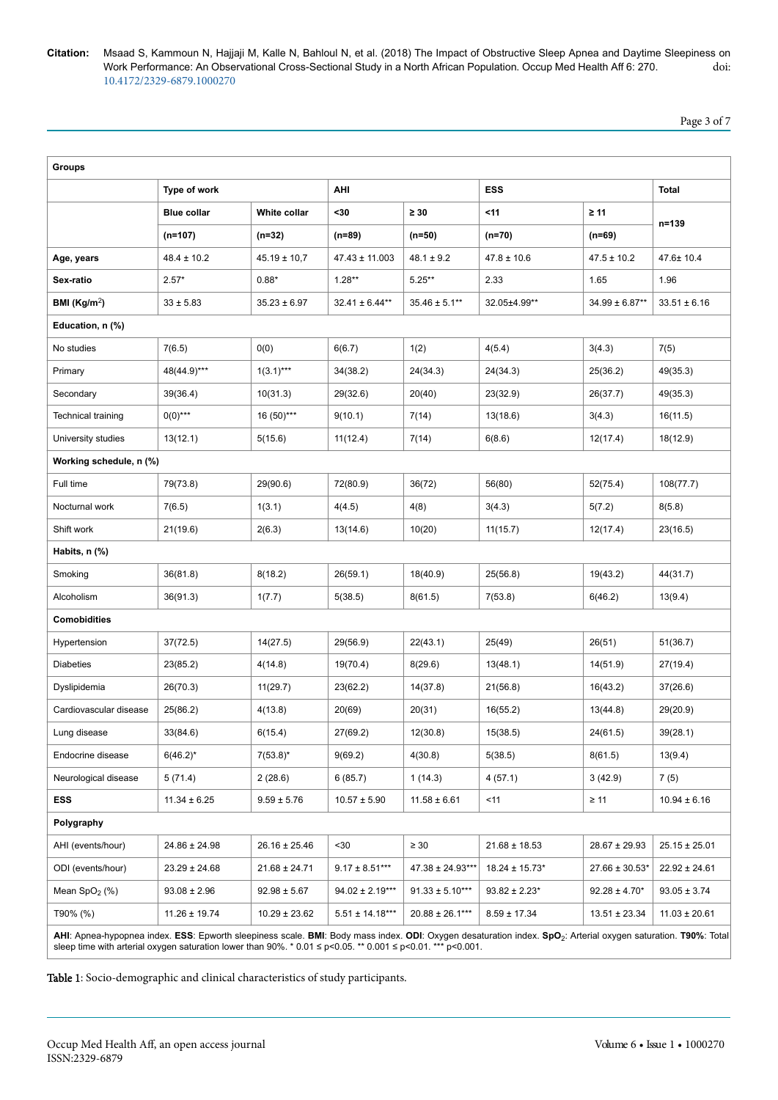**Citation:** Msaad S, Kammoun N, Hajjaji M, Kalle N, Bahloul N, et al. (2018) The Impact of Obstructive Sleep Apnea and Daytime Sleepiness on<br>Work Performance: An Observational Cross-Sectional Study in a North African Popul Work Performance: An Observational Cross-Sectional Study in a North African Population. Occup Med Health Aff 6: 270. 10.4172/2329-6879.1000270

Page 3 of 7

| <b>Groups</b>                                                                                                                                                         |                    |                   |                     |                     |                    |                     |                   |  |
|-----------------------------------------------------------------------------------------------------------------------------------------------------------------------|--------------------|-------------------|---------------------|---------------------|--------------------|---------------------|-------------------|--|
|                                                                                                                                                                       | Type of work       |                   | AHI                 |                     | <b>ESS</b>         |                     | Total             |  |
|                                                                                                                                                                       | <b>Blue collar</b> | White collar      | <30                 | $\geq 30$           | $11$               | $\geq 11$           | n=139             |  |
|                                                                                                                                                                       | $(n=107)$          | $(n=32)$          | (n=89)              | $(n=50)$            | $(n=70)$           | (n=69)              |                   |  |
| Age, years                                                                                                                                                            | $48.4 \pm 10.2$    | $45.19 \pm 10.7$  | 47.43 ± 11.003      | $48.1 \pm 9.2$      | $47.8 \pm 10.6$    | $47.5 \pm 10.2$     | 47.6± 10.4        |  |
| Sex-ratio                                                                                                                                                             | $2.57*$            | $0.88*$           | $1.28**$            | $5.25***$           | 2.33               | 1.65                | 1.96              |  |
| BMI (Kg/m <sup>2</sup> )                                                                                                                                              | $33 \pm 5.83$      | $35.23 \pm 6.97$  | $32.41 \pm 6.44**$  | $35.46 \pm 5.1***$  | 32.05±4.99**       | $34.99 \pm 6.87$ ** | $33.51 \pm 6.16$  |  |
| Education, n (%)                                                                                                                                                      |                    |                   |                     |                     |                    |                     |                   |  |
| No studies                                                                                                                                                            | 7(6.5)             | 0(0)              | 6(6.7)              | 1(2)                | 4(5.4)             | 3(4.3)              | 7(5)              |  |
| Primary                                                                                                                                                               | 48(44.9)***        | $1(3.1)***$       | 34(38.2)            | 24(34.3)            | 24(34.3)           | 25(36.2)            | 49(35.3)          |  |
| Secondary                                                                                                                                                             | 39(36.4)           | 10(31.3)          | 29(32.6)            | 20(40)              | 23(32.9)           | 26(37.7)            | 49(35.3)          |  |
| Technical training                                                                                                                                                    | $0(0)$ ***         | 16 (50)***        | 9(10.1)             | 7(14)               | 13(18.6)           | 3(4.3)              | 16(11.5)          |  |
| University studies                                                                                                                                                    | 13(12.1)           | 5(15.6)           | 11(12.4)            | 7(14)               | 6(8.6)             | 12(17.4)            | 18(12.9)          |  |
| Working schedule, n (%)                                                                                                                                               |                    |                   |                     |                     |                    |                     |                   |  |
| Full time                                                                                                                                                             | 79(73.8)           | 29(90.6)          | 72(80.9)            | 36(72)              | 56(80)             | 52(75.4)            | 108(77.7)         |  |
| Nocturnal work                                                                                                                                                        | 7(6.5)             | 1(3.1)            | 4(4.5)              | 4(8)                | 3(4.3)             | 5(7.2)              | 8(5.8)            |  |
| Shift work                                                                                                                                                            | 21(19.6)           | 2(6.3)            | 13(14.6)            | 10(20)              | 11(15.7)           | 12(17.4)            | 23(16.5)          |  |
| Habits, n (%)                                                                                                                                                         |                    |                   |                     |                     |                    |                     |                   |  |
| Smoking                                                                                                                                                               | 36(81.8)           | 8(18.2)           | 26(59.1)            | 18(40.9)            | 25(56.8)           | 19(43.2)            | 44(31.7)          |  |
| Alcoholism                                                                                                                                                            | 36(91.3)           | 1(7.7)            | 5(38.5)             | 8(61.5)             | 7(53.8)            | 6(46.2)             | 13(9.4)           |  |
| <b>Comobidities</b>                                                                                                                                                   |                    |                   |                     |                     |                    |                     |                   |  |
| Hypertension                                                                                                                                                          | 37(72.5)           | 14(27.5)          | 29(56.9)            | 22(43.1)            | 25(49)             | 26(51)              | 51(36.7)          |  |
| <b>Diabeties</b>                                                                                                                                                      | 23(85.2)           | 4(14.8)           | 19(70.4)            | 8(29.6)             | 13(48.1)           | 14(51.9)            | 27(19.4)          |  |
| Dyslipidemia                                                                                                                                                          | 26(70.3)           | 11(29.7)          | 23(62.2)            | 14(37.8)            | 21(56.8)           | 16(43.2)            | 37(26.6)          |  |
| Cardiovascular disease                                                                                                                                                | 25(86.2)           | 4(13.8)           | 20(69)              | 20(31)              | 16(55.2)           | 13(44.8)            | 29(20.9)          |  |
| Lung disease                                                                                                                                                          | 33(84.6)           | 6(15.4)           | 27(69.2)            | 12(30.8)            | 15(38.5)           | 24(61.5)            | 39(28.1)          |  |
| Endocrine disease                                                                                                                                                     | $6(46.2)^{*}$      | $7(53.8)^*$       | 9(69.2)             | 4(30.8)             | 5(38.5)            | 8(61.5)             | 13(9.4)           |  |
| Neurological disease                                                                                                                                                  | 5(71.4)            | 2(28.6)           | 6(85.7)             | 1(14.3)             | 4(57.1)            | 3(42.9)             | 7(5)              |  |
| ESS                                                                                                                                                                   | $11.34 \pm 6.25$   | $9.59 \pm 5.76$   | $10.57 \pm 5.90$    | $11.58 \pm 6.61$    | $11$               | $\geq 11$           | $10.94 \pm 6.16$  |  |
| Polygraphy                                                                                                                                                            |                    |                   |                     |                     |                    |                     |                   |  |
| AHI (events/hour)                                                                                                                                                     | $24.86 \pm 24.98$  | $26.16 \pm 25.46$ | $30$                | $\geq 30$           | $21.68 \pm 18.53$  | $28.67 \pm 29.93$   | $25.15 \pm 25.01$ |  |
| ODI (events/hour)                                                                                                                                                     | $23.29 \pm 24.68$  | $21.68 \pm 24.71$ | $9.17 \pm 8.51***$  | 47.38 ± 24.93***    | $18.24 \pm 15.73*$ | $27.66 \pm 30.53*$  | $22.92 \pm 24.61$ |  |
| Mean $SpO2(%)$                                                                                                                                                        | $93.08 \pm 2.96$   | $92.98 \pm 5.67$  | $94.02 \pm 2.19***$ | $91.33 \pm 5.10***$ | $93.82 \pm 2.23$ * | $92.28 \pm 4.70*$   | $93.05 \pm 3.74$  |  |
| T90% (%)                                                                                                                                                              | $11.26 \pm 19.74$  | $10.29 \pm 23.62$ | $5.51 \pm 14.18***$ | $20.88 \pm 26.1***$ | $8.59 \pm 17.34$   | $13.51 \pm 23.34$   | $11.03 \pm 20.61$ |  |
| AHI: Annea hyponnea index ESS: Epworth sleepiness scale RMI: Body mass index ODI: Oxygen desaturation index SpO <sub>s</sub> : Arterial oxygen saturation T90%: Total |                    |                   |                     |                     |                    |                     |                   |  |

**AHI**: Apnea-hypopnea index. ESS: Epworth sleepiness scale. BMI: Body mass index. ODI: Oxygen desaturation index. SpO<sub>2</sub>: Arterial oxygen saturation. T90%: Total<br>sleep time with arterial oxygen saturation lower than 90%.

Table 1: Socio-demographic and clinical characteristics of study participants.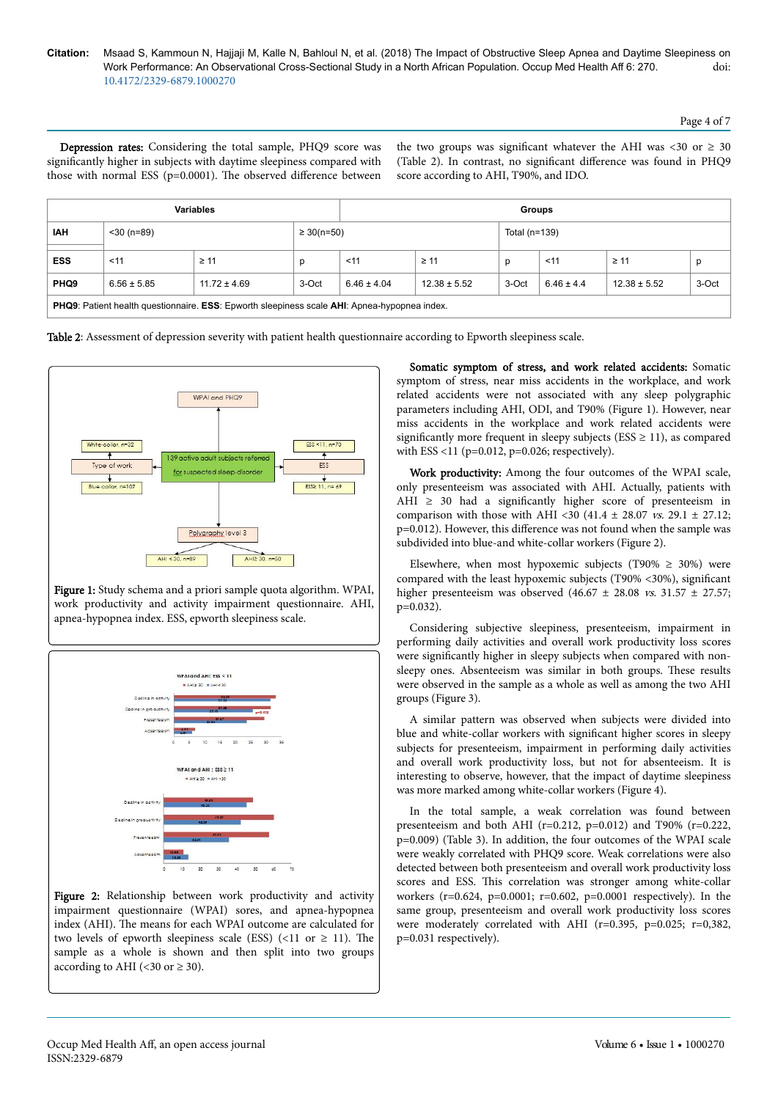Depression rates: Considering the total sample, PHQ9 score was significantly higher in subjects with daytime sleepiness compared with those with normal ESS ( $p=0.0001$ ). The observed difference between the two groups was significant whatever the AHI was <30 or  $\geq$  30 (Table 2). In contrast, no significant difference was found in PHQ9 score according to AHI, T90%, and IDO.

| <b>Variables</b>                                                                                                  |                 |                                    | <b>Groups</b> |                 |                  |       |                |                  |       |
|-------------------------------------------------------------------------------------------------------------------|-----------------|------------------------------------|---------------|-----------------|------------------|-------|----------------|------------------|-------|
| <b>IAH</b>                                                                                                        | $<$ 30 (n=89)   | $\geq 30(n=50)$<br>Total $(n=139)$ |               |                 |                  |       |                |                  |       |
| <b>ESS</b>                                                                                                        | $<$ 11          | $\geq 11$                          | D             | < 11            | $\geq 11$        | p     | $11$           | $\geq 11$        | n     |
| PHQ <sub>9</sub>                                                                                                  | $6.56 \pm 5.85$ | $11.72 \pm 4.69$                   | 3-Oct         | $6.46 \pm 4.04$ | $12.38 \pm 5.52$ | 3-Oct | $6.46 \pm 4.4$ | $12.38 \pm 5.52$ | 3-Oct |
| <b>PHQ9:</b> Patient health questionnaire. <b>ESS:</b> Epworth sleepiness scale <b>AHI:</b> Apnea-hypopnea index. |                 |                                    |               |                 |                  |       |                |                  |       |

Table 2: Assessment of depression severity with patient health questionnaire according to Epworth sleepiness scale.



Figure 1: Study schema and a priori sample quota algorithm. WPAI, work productivity and activity impairment questionnaire. AHI, apnea-hypopnea index. ESS, epworth sleepiness scale.



Figure 2: Relationship between work productivity and activity impairment questionnaire (WPAI) sores, and apnea-hypopnea index (AHI). Нe means for each WPAI outcome are calculated for two levels of epworth sleepiness scale (ESS) (<11 or  $\geq$  11). The sample as a whole is shown and then split into two groups according to AHI (<30 or  $\geq$  30).

Somatic symptom of stress, and work related accidents: Somatic symptom of stress, near miss accidents in the workplace, and work related accidents were not associated with any sleep polygraphic parameters including AHI, ODI, and T90% (Figure 1). However, near miss accidents in the workplace and work related accidents were significantly more frequent in sleepy subjects (ESS  $\geq$  11), as compared with ESS <11 ( $p=0.012$ ,  $p=0.026$ ; respectively).

Work productivity: Among the four outcomes of the WPAI scale, only presenteeism was associated with AHI. Actually, patients with AHI  $\geq$  30 had a significantly higher score of presenteeism in comparison with those with AHI <30 (41.4  $\pm$  28.07 *vs.* 29.1  $\pm$  27.12; p=0.012). However, this difference was not found when the sample was subdivided into blue-and white-collar workers (Figure 2).

Elsewhere, when most hypoxemic subjects (T90%  $\geq$  30%) were compared with the least hypoxemic subjects (T90% <30%), significant higher presenteeism was observed  $(46.67 \pm 28.08 \text{ vs. } 31.57 \pm 27.57;$  $p=0.032$ ).

Considering subjective sleepiness, presenteeism, impairment in performing daily activities and overall work productivity loss scores were significantly higher in sleepy subjects when compared with nonsleepy ones. Absenteeism was similar in both groups. Нese results were observed in the sample as a whole as well as among the two AHI groups (Figure 3).

A similar pattern was observed when subjects were divided into blue and white-collar workers with significant higher scores in sleepy subjects for presenteeism, impairment in performing daily activities and overall work productivity loss, but not for absenteeism. It is interesting to observe, however, that the impact of daytime sleepiness was more marked among white-collar workers (Figure 4).

In the total sample, a weak correlation was found between presenteeism and both AHI ( $r=0.212$ ,  $p=0.012$ ) and T90% ( $r=0.222$ , p=0.009) (Table 3). In addition, the four outcomes of the WPAI scale were weakly correlated with PHQ9 score. Weak correlations were also detected between both presenteeism and overall work productivity loss scores and ESS. Нis correlation was stronger among white-collar workers (r=0.624, p=0.0001; r=0.602, p=0.0001 respectively). In the same group, presenteeism and overall work productivity loss scores were moderately correlated with AHI ( $r=0.395$ ,  $p=0.025$ ;  $r=0.382$ , p=0.031 respectively).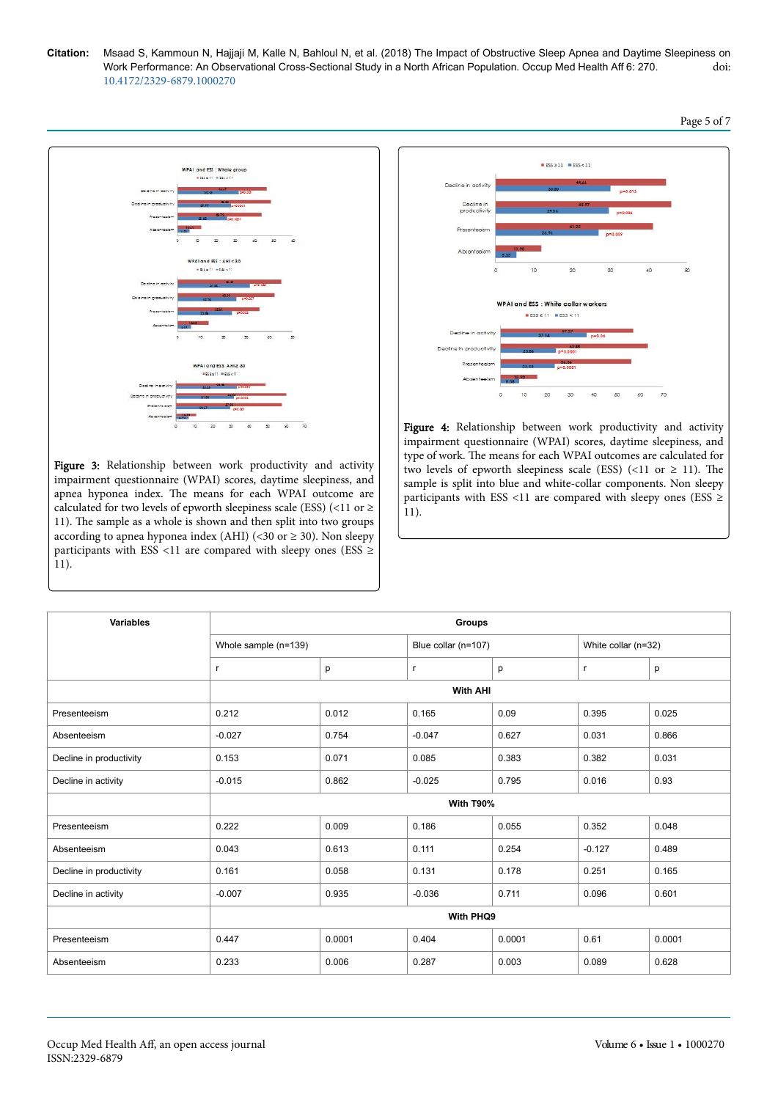

Figure 3: Relationship between work productivity and activity impairment questionnaire (WPAI) scores, daytime sleepiness, and apnea hyponea index. Нe means for each WPAI outcome are calculated for two levels of epworth sleepiness scale (ESS) (<11 or  $\ge$ 11). Нe sample as a whole is shown and then split into two groups according to apnea hyponea index (AHI) (<30 or  $\geq$  30). Non sleepy participants with ESS <11 are compared with sleepy ones (ESS  $\geq$ 11).



Figure 4: Relationship between work productivity and activity impairment questionnaire (WPAI) scores, daytime sleepiness, and type of work. Нe means for each WPAI outcomes are calculated for two levels of epworth sleepiness scale (ESS) (<11 or  $\geq$  11). The sample is split into blue and white-collar components. Non sleepy participants with ESS <11 are compared with sleepy ones (ESS  $\geq$ 11).

| Variables               | <b>Groups</b>        |        |                     |        |                     |        |  |  |
|-------------------------|----------------------|--------|---------------------|--------|---------------------|--------|--|--|
|                         | Whole sample (n=139) |        | Blue collar (n=107) |        | White collar (n=32) |        |  |  |
|                         | r                    | p      | $\mathsf{r}$        | p      | r                   | p      |  |  |
|                         | <b>With AHI</b>      |        |                     |        |                     |        |  |  |
| Presenteeism            | 0.212                | 0.012  | 0.165               | 0.09   | 0.395               | 0.025  |  |  |
| Absenteeism             | $-0.027$             | 0.754  | $-0.047$            | 0.627  | 0.031               | 0.866  |  |  |
| Decline in productivity | 0.153                | 0.071  | 0.085               | 0.383  | 0.382               | 0.031  |  |  |
| Decline in activity     | $-0.015$             | 0.862  | $-0.025$            | 0.795  | 0.016               | 0.93   |  |  |
|                         | With T90%            |        |                     |        |                     |        |  |  |
| Presenteeism            | 0.222                | 0.009  | 0.186               | 0.055  | 0.352               | 0.048  |  |  |
| Absenteeism             | 0.043                | 0.613  | 0.111               | 0.254  | $-0.127$            | 0.489  |  |  |
| Decline in productivity | 0.161                | 0.058  | 0.131               | 0.178  | 0.251               | 0.165  |  |  |
| Decline in activity     | $-0.007$             | 0.935  | $-0.036$            | 0.711  | 0.096               | 0.601  |  |  |
|                         | With PHQ9            |        |                     |        |                     |        |  |  |
| Presenteeism            | 0.447                | 0.0001 | 0.404               | 0.0001 | 0.61                | 0.0001 |  |  |
| Absenteeism             | 0.233                | 0.006  | 0.287               | 0.003  | 0.089               | 0.628  |  |  |

Page 5 of 7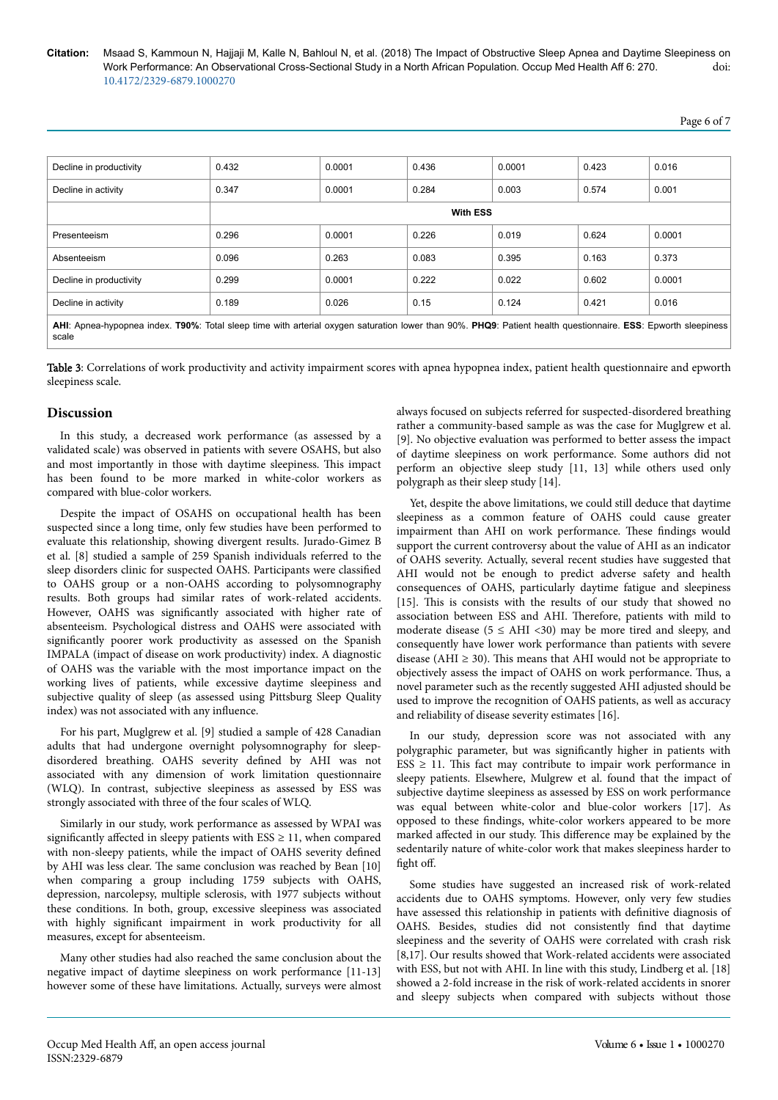| Decline in productivity                                                                                                                                       | 0.432           | 0.0001 | 0.436 | 0.0001 | 0.423 | 0.016  |  |  |
|---------------------------------------------------------------------------------------------------------------------------------------------------------------|-----------------|--------|-------|--------|-------|--------|--|--|
| Decline in activity                                                                                                                                           | 0.347           | 0.0001 | 0.284 | 0.003  | 0.574 | 0.001  |  |  |
|                                                                                                                                                               | <b>With ESS</b> |        |       |        |       |        |  |  |
| Presenteeism                                                                                                                                                  | 0.296           | 0.0001 | 0.226 | 0.019  | 0.624 | 0.0001 |  |  |
| Absenteeism                                                                                                                                                   | 0.096           | 0.263  | 0.083 | 0.395  | 0.163 | 0.373  |  |  |
| Decline in productivity                                                                                                                                       | 0.299           | 0.0001 | 0.222 | 0.022  | 0.602 | 0.0001 |  |  |
| Decline in activity                                                                                                                                           | 0.189           | 0.026  | 0.15  | 0.124  | 0.421 | 0.016  |  |  |
| AHI: Apnea-hypopnea index. T90%: Total sleep time with arterial oxygen saturation lower than 90%. PHQ9: Patient health questionnaire. ESS: Epworth sleepiness |                 |        |       |        |       |        |  |  |

scale

Table 3: Correlations of work productivity and activity impairment scores with apnea hypopnea index, patient health questionnaire and epworth sleepiness scale.

## **Discussion**

In this study, a decreased work performance (as assessed by a validated scale) was observed in patients with severe OSAHS, but also and most importantly in those with daytime sleepiness. Нis impact has been found to be more marked in white-color workers as compared with blue-color workers.

Despite the impact of OSAHS on occupational health has been suspected since a long time, only few studies have been performed to evaluate this relationship, showing divergent results. Jurado-Gimez B et al. [8] studied a sample of 259 Spanish individuals referred to the sleep disorders clinic for suspected OAHS. Participants were classified to OAHS group or a non-OAHS according to polysomnography results. Both groups had similar rates of work-related accidents. However, OAHS was significantly associated with higher rate of absenteeism. Psychological distress and OAHS were associated with significantly poorer work productivity as assessed on the Spanish IMPALA (impact of disease on work productivity) index. A diagnostic of OAHS was the variable with the most importance impact on the working lives of patients, while excessive daytime sleepiness and subjective quality of sleep (as assessed using Pittsburg Sleep Quality index) was not associated with any influence

For his part, Muglgrew et al. [9] studied a sample of 428 Canadian adults that had undergone overnight polysomnography for sleepdisordered breathing. OAHS severity defined by AHI was not associated with any dimension of work limitation questionnaire (WLQ). In contrast, subjective sleepiness as assessed by ESS was strongly associated with three of the four scales of WLQ.

Similarly in our study, work performance as assessed by WPAI was significantly affected in sleepy patients with  $ESS \ge 11$ , when compared with non-sleepy patients, while the impact of OAHS severity defined by AHI was less clear. Нe same conclusion was reached by Bean [10] when comparing a group including 1759 subjects with OAHS, depression, narcolepsy, multiple sclerosis, with 1977 subjects without these conditions. In both, group, excessive sleepiness was associated with highly significant impairment in work productivity for all measures, except for absenteeism.

Many other studies had also reached the same conclusion about the negative impact of daytime sleepiness on work performance [11-13] however some of these have limitations. Actually, surveys were almost

always focused on subjects referred for suspected-disordered breathing rather a community-based sample as was the case for Muglgrew et al. [9]. No objective evaluation was performed to better assess the impact of daytime sleepiness on work performance. Some authors did not perform an objective sleep study [11, 13] while others used only polygraph as their sleep study [14].

Yet, despite the above limitations, we could still deduce that daytime sleepiness as a common feature of OAHS could cause greater impairment than AHI on work performance. Нese findings would support the current controversy about the value of AHI as an indicator of OAHS severity. Actually, several recent studies have suggested that AHI would not be enough to predict adverse safety and health consequences of OAHS, particularly daytime fatigue and sleepiness [15]. This is consists with the results of our study that showed no association between ESS and AHI. Therefore, patients with mild to moderate disease ( $5 \leq AHI \leq 30$ ) may be more tired and sleepy, and consequently have lower work performance than patients with severe disease (AHI  $\geq$  30). This means that AHI would not be appropriate to objectively assess the impact of OAHS on work performance. Thus, a novel parameter such as the recently suggested AHI adjusted should be used to improve the recognition of OAHS patients, as well as accuracy and reliability of disease severity estimates [16].

In our study, depression score was not associated with any polygraphic parameter, but was significantly higher in patients with  $ESS \geq 11$ . This fact may contribute to impair work performance in sleepy patients. Elsewhere, Mulgrew et al. found that the impact of subjective daytime sleepiness as assessed by ESS on work performance was equal between white-color and blue-color workers [17]. As opposed to these findings, white-color workers appeared to be more marked affected in our study. This difference may be explained by the sedentarily nature of white-color work that makes sleepiness harder to fight off.

Some studies have suggested an increased risk of work-related accidents due to OAHS symptoms. However, only very few studies have assessed this relationship in patients with definitive diagnosis of OAHS. Besides, studies did not consistently find that daytime sleepiness and the severity of OAHS were correlated with crash risk [8,17]. Our results showed that Work-related accidents were associated with ESS, but not with AHI. In line with this study, Lindberg et al. [18] showed a 2-fold increase in the risk of work-related accidents in snorer and sleepy subjects when compared with subjects without those